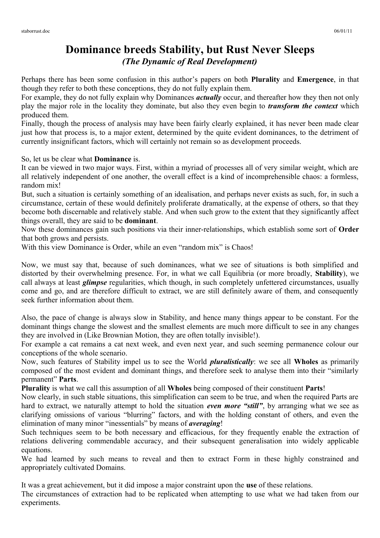## **Dominance breeds Stability, but Rust Never Sleeps** *(The Dynamic of Real Development)*

Perhaps there has been some confusion in this author's papers on both **Plurality** and **Emergence**, in that though they refer to both these conceptions, they do not fully explain them.

For example, they do not fully explain why Dominances *actually* occur, and thereafter how they then not only play the major role in the locality they dominate, but also they even begin to *transform the context* which produced them.

Finally, though the process of analysis may have been fairly clearly explained, it has never been made clear just how that process is, to a major extent, determined by the quite evident dominances, to the detriment of currently insignificant factors, which will certainly not remain so as development proceeds.

So, let us be clear what **Dominance** is.

It can be viewed in two major ways. First, within a myriad of processes all of very similar weight, which are all relatively independent of one another, the overall effect is a kind of incomprehensible chaos: a formless, random mix!

But, such a situation is certainly something of an idealisation, and perhaps never exists as such, for, in such a circumstance, certain of these would definitely proliferate dramatically, at the expense of others, so that they become both discernable and relatively stable. And when such grow to the extent that they significantly affect things overall, they are said to be **dominant**.

Now these dominances gain such positions via their inner-relationships, which establish some sort of **Order** that both grows and persists.

With this view Dominance is Order, while an even "random mix" is Chaos!

Now, we must say that, because of such dominances, what we see of situations is both simplified and distorted by their overwhelming presence. For, in what we call Equilibria (or more broadly, **Stability**), we call always at least *glimpse* regularities, which though, in such completely unfettered circumstances, usually come and go, and are therefore difficult to extract, we are still definitely aware of them, and consequently seek further information about them.

Also, the pace of change is always slow in Stability, and hence many things appear to be constant. For the dominant things change the slowest and the smallest elements are much more difficult to see in any changes they are involved in (Like Brownian Motion, they are often totally invisible!).

For example a cat remains a cat next week, and even next year, and such seeming permanence colour our conceptions of the whole scenario.

Now, such features of Stability impel us to see the World *pluralistically*: we see all **Wholes** as primarily composed of the most evident and dominant things, and therefore seek to analyse them into their "similarly permanent" **Parts**.

**Plurality** is what we call this assumption of all **Wholes** being composed of their constituent **Parts**!

Now clearly, in such stable situations, this simplification can seem to be true, and when the required Parts are hard to extract, we naturally attempt to hold the situation *even more "still"*, by arranging what we see as clarifying omissions of various "blurring" factors, and with the holding constant of others, and even the elimination of many minor "inessentials" by means of *averaging*!

Such techniques seem to be both necessary and efficacious, for they frequently enable the extraction of relations delivering commendable accuracy, and their subsequent generalisation into widely applicable equations.

We had learned by such means to reveal and then to extract Form in these highly constrained and appropriately cultivated Domains.

It was a great achievement, but it did impose a major constraint upon the **use** of these relations. The circumstances of extraction had to be replicated when attempting to use what we had taken from our experiments.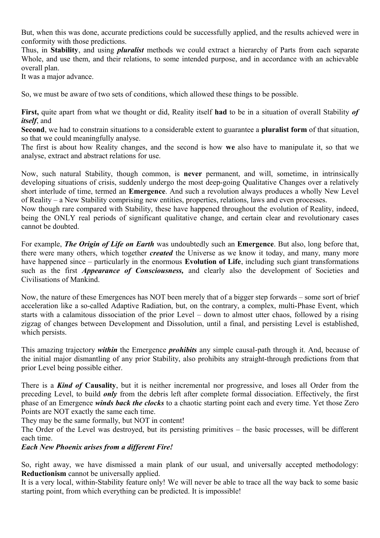But, when this was done, accurate predictions could be successfully applied, and the results achieved were in conformity with those predictions.

Thus, in **Stability**, and using *pluralist* methods we could extract a hierarchy of Parts from each separate Whole, and use them, and their relations, to some intended purpose, and in accordance with an achievable overall plan.

It was a major advance.

So, we must be aware of two sets of conditions, which allowed these things to be possible.

**First,** quite apart from what we thought or did, Reality itself **had** to be in a situation of overall Stability *of itself*, and

**Second**, we had to constrain situations to a considerable extent to guarantee a **pluralist form** of that situation, so that we could meaningfully analyse.

The first is about how Reality changes, and the second is how **we** also have to manipulate it, so that we analyse, extract and abstract relations for use.

Now, such natural Stability, though common, is **never** permanent, and will, sometime, in intrinsically developing situations of crisis, suddenly undergo the most deep-going Qualitative Changes over a relatively short interlude of time, termed an **Emergence**. And such a revolution always produces a wholly New Level of Reality – a New Stability comprising new entities, properties, relations, laws and even processes.

Now though rare compared with Stability, these have happened throughout the evolution of Reality, indeed, being the ONLY real periods of significant qualitative change, and certain clear and revolutionary cases cannot be doubted.

For example, *The Origin of Life on Earth* was undoubtedly such an **Emergence**. But also, long before that, there were many others, which together *created* the Universe as we know it today, and many, many more have happened since – particularly in the enormous **Evolution of Life**, including such giant transformations such as the first *Appearance of Consciousness,* and clearly also the development of Societies and Civilisations of Mankind.

Now, the nature of these Emergences has NOT been merely that of a bigger step forwards – some sort of brief acceleration like a so-called Adaptive Radiation, but, on the contrary, a complex, multi-Phase Event, which starts with a calamitous dissociation of the prior Level – down to almost utter chaos, followed by a rising zigzag of changes between Development and Dissolution, until a final, and persisting Level is established, which persists.

This amazing trajectory *within* the Emergence *prohibits* any simple causal-path through it. And, because of the initial major dismantling of any prior Stability, also prohibits any straight-through predictions from that prior Level being possible either.

There is a *Kind of* **Causality**, but it is neither incremental nor progressive, and loses all Order from the preceding Level, to build *only* from the debris left after complete formal dissociation. Effectively, the first phase of an Emergence *winds back the clocks* to a chaotic starting point each and every time. Yet those Zero Points are NOT exactly the same each time.

They may be the same formally, but NOT in content!

The Order of the Level was destroyed, but its persisting primitives – the basic processes, will be different each time.

*Each New Phoenix arises from a different Fire!*

So, right away, we have dismissed a main plank of our usual, and universally accepted methodology: **Reductionism** cannot be universally applied.

It is a very local, within-Stability feature only! We will never be able to trace all the way back to some basic starting point, from which everything can be predicted. It is impossible!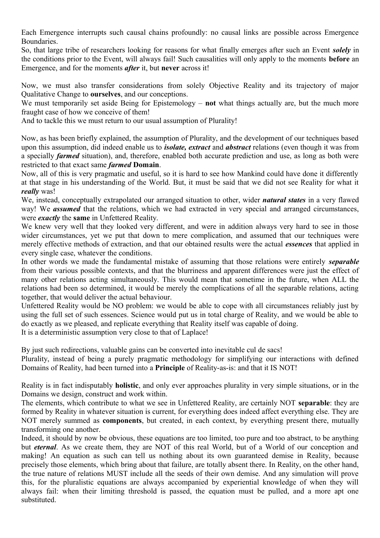Each Emergence interrupts such causal chains profoundly: no causal links are possible across Emergence **Boundaries** 

So, that large tribe of researchers looking for reasons for what finally emerges after such an Event *solely* in the conditions prior to the Event, will always fail! Such causalities will only apply to the moments **before** an Emergence, and for the moments *after* it, but **never** across it!

Now, we must also transfer considerations from solely Objective Reality and its trajectory of major Qualitative Change to **ourselves**, and our conceptions.

We must temporarily set aside Being for Epistemology – **not** what things actually are, but the much more fraught case of how we conceive of them!

And to tackle this we must return to our usual assumption of Plurality!

Now, as has been briefly explained, the assumption of Plurality, and the development of our techniques based upon this assumption, did indeed enable us to *isolate, extract* and *abstract* relations (even though it was from a specially *farmed* situation), and, therefore, enabled both accurate prediction and use, as long as both were restricted to that exact same *farmed* **Domain**.

Now, all of this is very pragmatic and useful, so it is hard to see how Mankind could have done it differently at that stage in his understanding of the World. But, it must be said that we did not see Reality for what it *really* was!

We, instead, conceptually extrapolated our arranged situation to other, wider *natural states* in a very flawed way! We *assumed* that the relations, which we had extracted in very special and arranged circumstances, were *exactly* the **same** in Unfettered Reality.

We knew very well that they looked very different, and were in addition always very hard to see in those wider circumstances, yet we put that down to mere complication, and assumed that our techniques were merely effective methods of extraction, and that our obtained results were the actual *essences* that applied in every single case, whatever the conditions.

In other words we made the fundamental mistake of assuming that those relations were entirely *separable* from their various possible contexts, and that the blurriness and apparent differences were just the effect of many other relations acting simultaneously. This would mean that sometime in the future, when ALL the relations had been so determined, it would be merely the complications of all the separable relations, acting together, that would deliver the actual behaviour.

Unfettered Reality would be NO problem: we would be able to cope with all circumstances reliably just by using the full set of such essences. Science would put us in total charge of Reality, and we would be able to do exactly as we pleased, and replicate everything that Reality itself was capable of doing.

It is a deterministic assumption very close to that of Laplace!

By just such redirections, valuable gains can be converted into inevitable cul de sacs!

Plurality, instead of being a purely pragmatic methodology for simplifying our interactions with defined Domains of Reality, had been turned into a **Principle** of Reality-as-is: and that it IS NOT!

Reality is in fact indisputably **holistic**, and only ever approaches plurality in very simple situations, or in the Domains we design, construct and work within.

The elements, which contribute to what we see in Unfettered Reality, are certainly NOT **separable**: they are formed by Reality in whatever situation is current, for everything does indeed affect everything else. They are NOT merely summed as **components**, but created, in each context, by everything present there, mutually transforming one another.

Indeed, it should by now be obvious, these equations are too limited, too pure and too abstract, to be anything but *eternal*. As we create them, they are NOT of this real World, but of a World of our conception and making! An equation as such can tell us nothing about its own guaranteed demise in Reality, because precisely those elements, which bring about that failure, are totally absent there. In Reality, on the other hand, the true nature of relations MUST include all the seeds of their own demise. And any simulation will prove this, for the pluralistic equations are always accompanied by experiential knowledge of when they will always fail: when their limiting threshold is passed, the equation must be pulled, and a more apt one substituted.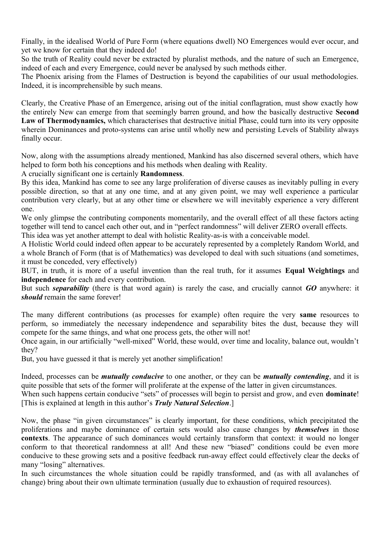Finally, in the idealised World of Pure Form (where equations dwell) NO Emergences would ever occur, and yet we know for certain that they indeed do!

So the truth of Reality could never be extracted by pluralist methods, and the nature of such an Emergence, indeed of each and every Emergence, could never be analysed by such methods either.

The Phoenix arising from the Flames of Destruction is beyond the capabilities of our usual methodologies. Indeed, it is incomprehensible by such means.

Clearly, the Creative Phase of an Emergence, arising out of the initial conflagration, must show exactly how the entirely New can emerge from that seemingly barren ground, and how the basically destructive **Second Law of Thermodynamics,** which characterises that destructive initial Phase, could turn into its very opposite wherein Dominances and proto-systems can arise until wholly new and persisting Levels of Stability always finally occur.

Now, along with the assumptions already mentioned, Mankind has also discerned several others, which have helped to form both his conceptions and his methods when dealing with Reality.

A crucially significant one is certainly **Randomness**.

By this idea, Mankind has come to see any large proliferation of diverse causes as inevitably pulling in every possible direction, so that at any one time, and at any given point, we may well experience a particular contribution very clearly, but at any other time or elsewhere we will inevitably experience a very different one.

We only glimpse the contributing components momentarily, and the overall effect of all these factors acting together will tend to cancel each other out, and in "perfect randomness" will deliver ZERO overall effects.

This idea was yet another attempt to deal with holistic Reality-as-is with a conceivable model.

A Holistic World could indeed often appear to be accurately represented by a completely Random World, and a whole Branch of Form (that is of Mathematics) was developed to deal with such situations (and sometimes, it must be conceded, very effectively)

BUT, in truth, it is more of a useful invention than the real truth, for it assumes **Equal Weightings** and **independence** for each and every contribution.

But such *separability* (there is that word again) is rarely the case, and crucially cannot *GO* anywhere: it *should* remain the same forever!

The many different contributions (as processes for example) often require the very **same** resources to perform, so immediately the necessary independence and separability bites the dust, because they will compete for the same things, and what one process gets, the other will not!

Once again, in our artificially "well-mixed" World, these would, over time and locality, balance out, wouldn't they?

But, you have guessed it that is merely yet another simplification!

Indeed, processes can be *mutually conducive* to one another, or they can be *mutually contending*, and it is quite possible that sets of the former will proliferate at the expense of the latter in given circumstances.

When such happens certain conducive "sets" of processes will begin to persist and grow, and even **dominate**! [This is explained at length in this author's *Truly Natural Selection*.]

Now, the phase "in given circumstances" is clearly important, for these conditions, which precipitated the proliferations and maybe dominance of certain sets would also cause changes by *themselves* in those **contexts**. The appearance of such dominances would certainly transform that context: it would no longer conform to that theoretical randomness at all! And these new "biased" conditions could be even more conducive to these growing sets and a positive feedback run-away effect could effectively clear the decks of many "losing" alternatives.

In such circumstances the whole situation could be rapidly transformed, and (as with all avalanches of change) bring about their own ultimate termination (usually due to exhaustion of required resources).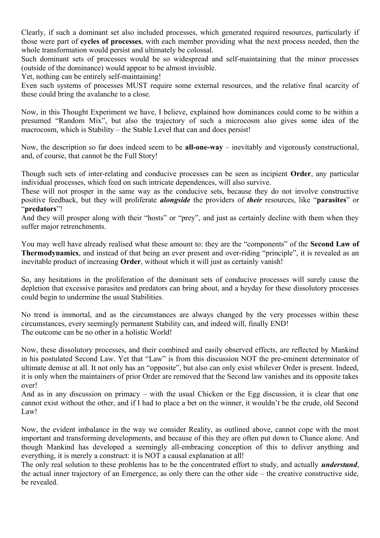Clearly, if such a dominant set also included processes, which generated required resources, particularly if those were part of **cycles of processes**, with each member providing what the next process needed, then the whole transformation would persist and ultimately be colossal.

Such dominant sets of processes would be so widespread and self-maintaining that the minor processes (outside of the dominance) would appear to be almost invisible.

Yet, nothing can be entirely self-maintaining!

Even such systems of processes MUST require some external resources, and the relative final scarcity of these could bring the avalanche to a close.

Now, in this Thought Experiment we have, I believe, explained how dominances could come to be within a presumed "Random Mix", but also the trajectory of such a microcosm also gives some idea of the macrocosm, which is Stability – the Stable Level that can and does persist!

Now, the description so far does indeed seem to be **all-one-way** – inevitably and vigorously constructional, and, of course, that cannot be the Full Story!

Though such sets of inter-relating and conducive processes can be seen as incipient **Order**, any particular individual processes, which feed on such intricate dependences, will also survive.

These will not prosper in the same way as the conducive sets, because they do not involve constructive positive feedback, but they will proliferate *alongside* the providers of *their* resources, like "**parasites**" or "**predators**"!

And they will prosper along with their "hosts" or "prey", and just as certainly decline with them when they suffer major retrenchments.

You may well have already realised what these amount to: they are the "components" of the **Second Law of Thermodynamics**, and instead of that being an ever present and over-riding "principle", it is revealed as an inevitable product of increasing **Order**, without which it will just as certainly vanish!

So, any hesitations in the proliferation of the dominant sets of conducive processes will surely cause the depletion that excessive parasites and predators can bring about, and a heyday for these dissolutory processes could begin to undermine the usual Stabilities.

No trend is immortal, and as the circumstances are always changed by the very processes within these circumstances, every seemingly permanent Stability can, and indeed will, finally END! The outcome can be no other in a holistic World!

Now, these dissolutory processes, and their combined and easily observed effects, are reflected by Mankind in his postulated Second Law. Yet that "Law" is from this discussion NOT the pre-eminent determinator of ultimate demise at all. It not only has an "opposite", but also can only exist whilever Order is present. Indeed, it is only when the maintainers of prior Order are removed that the Second law vanishes and its opposite takes over!

And as in any discussion on primacy – with the usual Chicken or the Egg discussion, it is clear that one cannot exist without the other, and if I had to place a bet on the winner, it wouldn't be the crude, old Second Law!

Now, the evident imbalance in the way we consider Reality, as outlined above, cannot cope with the most important and transforming developments, and because of this they are often put down to Chance alone. And though Mankind has developed a seemingly all-embracing conception of this to deliver anything and everything, it is merely a construct: it is NOT a causal explanation at all!

The only real solution to these problems has to be the concentrated effort to study, and actually *understand*, the actual inner trajectory of an Emergence, as only there can the other side – the creative constructive side, be revealed.